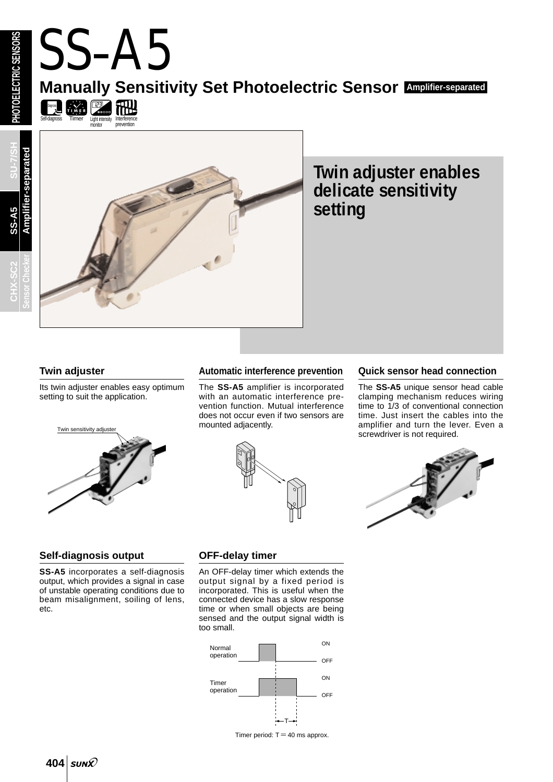Self-diagnosis Diagnosis

**CHX-SC2 SU-7/SH Amplifier-separated** ier-separated **SS-A5** Ampl **Sensor Checker**



# **Twin adjuster enables delicate sensitivity setting**

### **Twin adjuster**

Its twin adjuster enables easy optimum setting to suit the application.

<span id="page-0-0"></span>SS-A5

Timer Light intensity monitor

FINER PASSE

Interference prevention

**RHU** 



#### **Automatic interference prevention**

**Manually Sensitivity Set Photoelectric Sensor Amplifier-separated**

The **SS-A5** amplifier is incorporated with an automatic interference prevention function. Mutual interference does not occur even if two sensors are mounted adjacently.



#### **Quick sensor head connection**

The **SS-A5** unique sensor head cable clamping mechanism reduces wiring time to 1/3 of conventional connection time. Just insert the cables into the amplifier and turn the lever. Even a screwdriver is not required.



#### **Self-diagnosis output**

**SS-A5** incorporates a self-diagnosis output, which provides a signal in case of unstable operating conditions due to beam misalignment, soiling of lens, etc.

#### **OFF-delay timer**

An OFF-delay timer which extends the output signal by a fixed period is incorporated. This is useful when the connected device has a slow response time or when small objects are being sensed and the output signal width is too small.



Timer period:  $T = 40$  ms approx.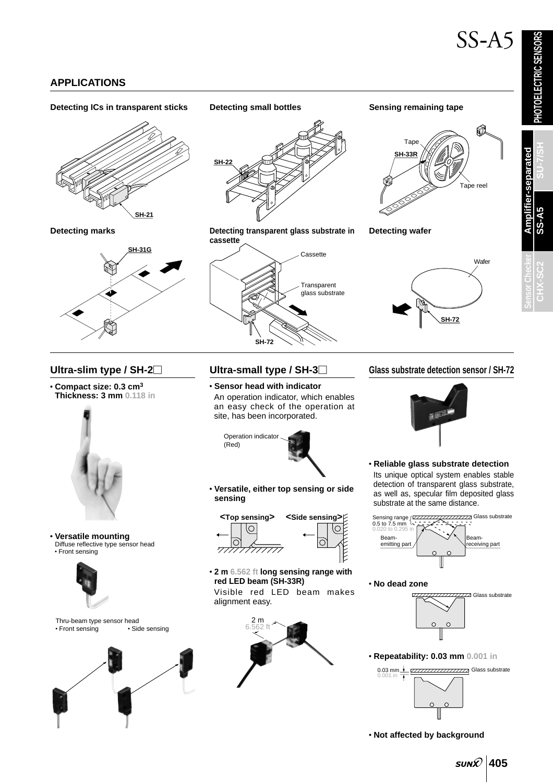**PHOTOELECTRIC SENSORS**

**PHOTOELECTRIC SENSORS** 

**SS-A5**

**CHX-SC2 SU-7/SH**

### **APPLICATIONS**

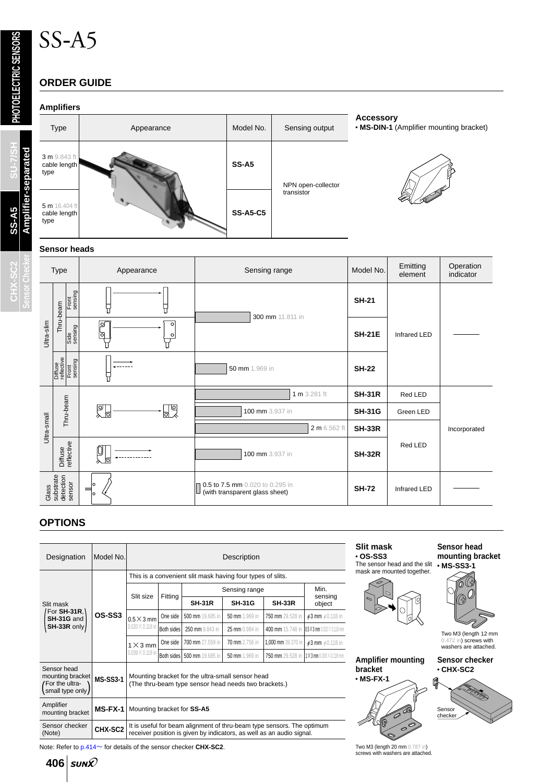# SS-A5

## **ORDER GUIDE**

#### **Amplifiers**



**Sensor Checker**

CHX-SC2

**PHOTOELECTRIC SENSORS**

PHOTOELECTRIC SENSORS



**Accessory** • **MS-DIN-1** (Amplifier mounting bracket)



#### **Sensor heads**

| <b>Type</b>                               |                                           | Appearance                     | Sensing range                                                     | Model No.     | Emitting<br>element | Operation<br>indicator |
|-------------------------------------------|-------------------------------------------|--------------------------------|-------------------------------------------------------------------|---------------|---------------------|------------------------|
| Ultra-slim                                | Front<br>sensing<br>Thru-beam             | Π                              | 300 mm 11.811 in                                                  | <b>SH-21</b>  | <b>Infrared LED</b> |                        |
|                                           | Side<br>sensing                           | ⊠<br>$\circ$<br>ାବା<br>$\circ$ |                                                                   | <b>SH-21E</b> |                     |                        |
|                                           | Diffuse<br>reflective<br>Front<br>sensing |                                | 50 mm 1.969 in                                                    | <b>SH-22</b>  |                     |                        |
|                                           | Thru-beam                                 |                                | 1 m 3.281 ft                                                      | <b>SH-31R</b> | Red LED             |                        |
|                                           |                                           | 乳<br>তা                        | 100 mm 3.937 in                                                   | <b>SH-31G</b> | Green LED           |                        |
| Ultra-small                               |                                           |                                | 2 m 6.562 ft                                                      | <b>SH-33R</b> |                     | Incorporated           |
|                                           | Diffuse<br>reflective                     | б                              | 100 mm 3.937 in                                                   | <b>SH-32R</b> | Red LED             |                        |
| substrate<br>detection<br>sensor<br>Glass |                                           | $\Rightarrow$<br>lo            | 0.5 to 7.5 mm 0.020 to 0.295 in<br>(with transparent glass sheet) | <b>SH-72</b>  | Infrared LED        |                        |

### **OPTIONS**

| Designation                                                                                                                                                                                         | Model No. | Description                                                |                   |                  |                |                    |                                        |  |
|-----------------------------------------------------------------------------------------------------------------------------------------------------------------------------------------------------|-----------|------------------------------------------------------------|-------------------|------------------|----------------|--------------------|----------------------------------------|--|
|                                                                                                                                                                                                     | OS-SS3    | This is a convenient slit mask having four types of slits. |                   |                  |                |                    |                                        |  |
|                                                                                                                                                                                                     |           | Slit size                                                  | Fitting           | Sensing range    | Min.           |                    |                                        |  |
| Slit mask                                                                                                                                                                                           |           |                                                            |                   | <b>SH-31R</b>    | <b>SH-31G</b>  | <b>SH-33R</b>      | sensing<br>object                      |  |
| For SH-31R,<br>SH-31G and                                                                                                                                                                           |           | $0.5 \times 3$ mm<br>$0.020 \times 0.118$ in               | One side          | 500 mm 19.685 in | 50 mm 1.969 in | 750 mm 29.528 in   | $63$ mm $60.118$ in                    |  |
| $SH-33R$ only                                                                                                                                                                                       |           |                                                            | <b>Both sides</b> | 250 mm 9.843 in  | 25 mm 0.984 in | 400 mm 15.748 in   | $0.5$ X 3 mm $0.020$ $\times$ 0.118 mm |  |
|                                                                                                                                                                                                     |           | $1 \times 3$ mm<br>$0.039 \times 0.118$ in                 | One side          | 700 mm 27.559 in | 70 mm 2.756 in | 1,000 mm 39.370 in | $63$ mm $60.118$ in                    |  |
|                                                                                                                                                                                                     |           |                                                            | Both sides        | 500 mm 19.685 in | 50 mm 1.969 in | 750 mm 29.528 in   | $11$ X 3 mm $0.039$ $\times$ 0.118 mm  |  |
| Sensor head<br>mounting bracket<br>Mounting bracket for the ultra-small sensor head<br><b>MS-SS3-1</b><br>For the ultra-<br>(The thru-beam type sensor head needs two brackets.)<br>small type only |           |                                                            |                   |                  |                |                    |                                        |  |
| Amplifier<br>mounting bracket                                                                                                                                                                       | $MS-FX-1$ | Mounting bracket for SS-A5                                 |                   |                  |                |                    |                                        |  |
| Sensor checker<br>It is useful for beam alignment of thru-beam type sensors. The optimum<br>CHX-SC2<br>receiver position is given by indicators, as well as an audio signal.<br>(Note)              |           |                                                            |                   |                  |                |                    |                                        |  |

Note: Refer to  $p.414$  for details of the sensor checker **CHX-SC2**.

406 *sun* $\Omega$ 

**Slit mask** • **OS-SS3** The sensor head and the slit • **MS-SS3-1** mic concernication and the concernication



**Amplifier mounting bracket**



#### **Sensor head mounting bracket**



Two M3 (length 12 mm 0.472 in) screws with washers are attached.







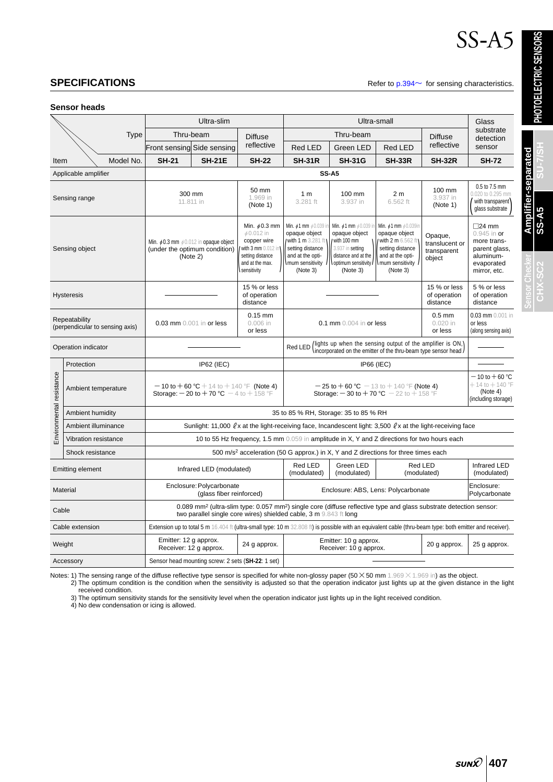# SS-A5

**SPECIFICATIONS** Refer to [p.394](#page-8-0) $\sim$  for sensing characteristics.

**Sensor heads**

| <b>Type</b>              |                                                  | Ultra-slim                                                                                                                                                                                                      |                                                                                                                                                          |                                                                                                                                    | Ultra-small                                                                                                                              |                                                                                                                                   |                                                                                                                                                |                                                         | Glass                                                                                                       |  |
|--------------------------|--------------------------------------------------|-----------------------------------------------------------------------------------------------------------------------------------------------------------------------------------------------------------------|----------------------------------------------------------------------------------------------------------------------------------------------------------|------------------------------------------------------------------------------------------------------------------------------------|------------------------------------------------------------------------------------------------------------------------------------------|-----------------------------------------------------------------------------------------------------------------------------------|------------------------------------------------------------------------------------------------------------------------------------------------|---------------------------------------------------------|-------------------------------------------------------------------------------------------------------------|--|
|                          |                                                  | Thru-beam                                                                                                                                                                                                       |                                                                                                                                                          | <b>Diffuse</b>                                                                                                                     | Thru-beam                                                                                                                                |                                                                                                                                   |                                                                                                                                                | <b>Diffuse</b>                                          | substrate<br>detection                                                                                      |  |
|                          |                                                  | Front sensing Side sensing                                                                                                                                                                                      |                                                                                                                                                          | reflective                                                                                                                         | <b>Red LED</b>                                                                                                                           | Green LED                                                                                                                         | <b>Red LED</b>                                                                                                                                 | reflective                                              | sensor                                                                                                      |  |
| Item                     | Model No.                                        | <b>SH-21</b>                                                                                                                                                                                                    | <b>SH-21E</b>                                                                                                                                            | <b>SH-22</b>                                                                                                                       | <b>SH-31R</b>                                                                                                                            | <b>SH-31G</b>                                                                                                                     | <b>SH-33R</b>                                                                                                                                  | <b>SH-32R</b>                                           | <b>SH-72</b>                                                                                                |  |
|                          | Applicable amplifier                             |                                                                                                                                                                                                                 | <b>SS-A5</b>                                                                                                                                             |                                                                                                                                    |                                                                                                                                          |                                                                                                                                   |                                                                                                                                                |                                                         |                                                                                                             |  |
|                          | Sensing range                                    | 300 mm<br>11.811 in                                                                                                                                                                                             |                                                                                                                                                          | 50 mm<br>1.969 in<br>(Note 1)                                                                                                      | 1 <sub>m</sub><br>3.281 ft                                                                                                               | 100 mm<br>3.937 in                                                                                                                | 2 <sub>m</sub><br>6.562 ft                                                                                                                     | 100 mm<br>3.937 in<br>(Note 1)                          | 0.5 to 7.5 mm<br>0.020 to 0.295 mm<br>with transparent<br>glass substrate                                   |  |
|                          | Sensing object                                   | Min. $\phi$ 0.3 mm $\phi$ 0.012 in opaque object<br>(under the optimum condition)<br>(Note 2)                                                                                                                   |                                                                                                                                                          | Min. $\phi$ 0.3 mm<br>$\phi$ 0.012 in<br>copper wire<br>with 3 mm $0.012$ in<br>setting distance<br>and at the max.<br>sensitivity | Min. $61$ mm $60.039$ i<br>opaque object<br>I with 1 m 3.281 ft t<br>setting distance<br>and at the opti-<br>mum sensitivity<br>(Note 3) | Min. ¢1 mm ¢0.039 i<br>opaque object<br>with 100 mm<br>3.937 in setting<br>distance and at the<br>optimum sensitivity<br>(Note 3) | Min. $\phi$ 1 mm $\phi$ 0.039in<br>opaque object<br>/ with 2 m 6.562 ft<br>setting distance<br>and at the opti-<br>mum sensitivity<br>(Note 3) | Opaque,<br>translucent or<br>transparent<br>object      | $\square$ 24 mm<br>$0.945$ in or<br>more trans-<br>parent glass,<br>aluminum-<br>evaporated<br>mirror, etc. |  |
|                          | <b>Hysteresis</b>                                |                                                                                                                                                                                                                 |                                                                                                                                                          | 15 % or less<br>of operation<br>distance                                                                                           |                                                                                                                                          |                                                                                                                                   | 15 % or less<br>of operation<br>distance                                                                                                       | 5 % or less<br>of operation<br>distance                 |                                                                                                             |  |
|                          | Repeatability<br>(perpendicular to sensing axis) | 0.03 mm 0.001 in or less                                                                                                                                                                                        |                                                                                                                                                          | $0.15$ mm<br>$0.006$ in<br>or less                                                                                                 | 0.1 mm 0.004 in or less                                                                                                                  |                                                                                                                                   | $0.5$ mm<br>$0.020$ in<br>or less                                                                                                              | $0.03$ mm $0.001$ in<br>or less<br>(along sensing axis) |                                                                                                             |  |
| Operation indicator      |                                                  |                                                                                                                                                                                                                 |                                                                                                                                                          |                                                                                                                                    | (lights up when the sensing output of the amplifier is ON,)<br>incorporated on the emitter of the thru-beam type sensor head)<br>Red LED |                                                                                                                                   |                                                                                                                                                |                                                         |                                                                                                             |  |
|                          | Protection                                       | <b>IP62 (IEC)</b>                                                                                                                                                                                               |                                                                                                                                                          |                                                                                                                                    | <b>IP66 (IEC)</b>                                                                                                                        |                                                                                                                                   |                                                                                                                                                |                                                         |                                                                                                             |  |
| Environmental resistance | Ambient temperature                              | $-10$ to $+60$ °C $+14$ to $+140$ °F (Note 4)<br><b>Storage: <math>-20</math> to <math>+70</math> °C</b> $-4$ to $+158$ °F                                                                                      |                                                                                                                                                          |                                                                                                                                    | $-25$ to $+60$ °C $-13$ to $+140$ °F (Note 4)<br><b>Storage: <math>-30</math> to <math>+70</math> °C</b> $-22$ to $+158$ °F              |                                                                                                                                   |                                                                                                                                                |                                                         | $-$ 10 to $+$ 60 °C<br>$+$ 14 to $+$ 140 °F<br>(Note 4)<br>(including storage)                              |  |
|                          | Ambient humidity                                 |                                                                                                                                                                                                                 |                                                                                                                                                          |                                                                                                                                    | 35 to 85 % RH, Storage: 35 to 85 % RH                                                                                                    |                                                                                                                                   |                                                                                                                                                |                                                         |                                                                                                             |  |
|                          | Ambient illuminance                              | Sunlight: 11,000 $\ell$ x at the light-receiving face, Incandescent light: 3,500 $\ell$ x at the light-receiving face                                                                                           |                                                                                                                                                          |                                                                                                                                    |                                                                                                                                          |                                                                                                                                   |                                                                                                                                                |                                                         |                                                                                                             |  |
|                          | Vibration resistance                             | 10 to 55 Hz frequency, 1.5 mm 0.059 in amplitude in X, Y and Z directions for two hours each                                                                                                                    |                                                                                                                                                          |                                                                                                                                    |                                                                                                                                          |                                                                                                                                   |                                                                                                                                                |                                                         |                                                                                                             |  |
|                          | Shock resistance                                 | 500 m/s <sup>2</sup> acceleration (50 G approx.) in X, Y and Z directions for three times each                                                                                                                  |                                                                                                                                                          |                                                                                                                                    |                                                                                                                                          |                                                                                                                                   |                                                                                                                                                |                                                         |                                                                                                             |  |
| <b>Emitting element</b>  |                                                  | Infrared LED (modulated)                                                                                                                                                                                        |                                                                                                                                                          |                                                                                                                                    | Red LED<br>(modulated)                                                                                                                   | Green LED<br>(modulated)                                                                                                          | Red LED<br>(modulated)                                                                                                                         |                                                         | Infrared LED<br>(modulated)                                                                                 |  |
| Material                 |                                                  | Enclosure: Polycarbonate<br>(glass fiber reinforced)                                                                                                                                                            |                                                                                                                                                          |                                                                                                                                    | Enclosure: ABS, Lens: Polycarbonate                                                                                                      |                                                                                                                                   |                                                                                                                                                | Enclosure:<br>Polycarbonate                             |                                                                                                             |  |
| Cable                    |                                                  | 0.089 mm <sup>2</sup> (ultra-slim type: 0.057 mm <sup>2</sup> ) single core (diffuse reflective type and glass substrate detection sensor:<br>two parallel single core wires) shielded cable, 3 m 9.843 ft long |                                                                                                                                                          |                                                                                                                                    |                                                                                                                                          |                                                                                                                                   |                                                                                                                                                |                                                         |                                                                                                             |  |
| Cable extension          |                                                  |                                                                                                                                                                                                                 | Extension up to total 5 m 16.404 ft (ultra-small type: 10 m 32.808 ft) is possible with an equivalent cable (thru-beam type: both emitter and receiver). |                                                                                                                                    |                                                                                                                                          |                                                                                                                                   |                                                                                                                                                |                                                         |                                                                                                             |  |
| Weight                   |                                                  | Emitter: 12 g approx.                                                                                                                                                                                           | Receiver: 12 g approx.                                                                                                                                   | 24 g approx.                                                                                                                       | Emitter: 10 g approx.<br>Receiver: 10 g approx.                                                                                          |                                                                                                                                   | 20 g approx.                                                                                                                                   | 25 g approx.                                            |                                                                                                             |  |
| Accessory                |                                                  |                                                                                                                                                                                                                 | Sensor head mounting screw: 2 sets (SH-22: 1 set)                                                                                                        |                                                                                                                                    |                                                                                                                                          |                                                                                                                                   |                                                                                                                                                |                                                         |                                                                                                             |  |

Notes: 1) The sensing range of the diffuse reflective type sensor is specified for white non-glossy paper (50  $\times$  50 mm 1.969  $\times$  1.969 in) as the object.<br>2) The optimum condition is the condition when the sensitivity i received condition.

3) The optimum sensitivity stands for the sensitivity level when the operation indicator just lights up in the light received condition.

4) No dew condensation or icing is allowed.

**Sensor Checker**

**CHX-SC2 SU-7/SH**

**Amplifier-separated**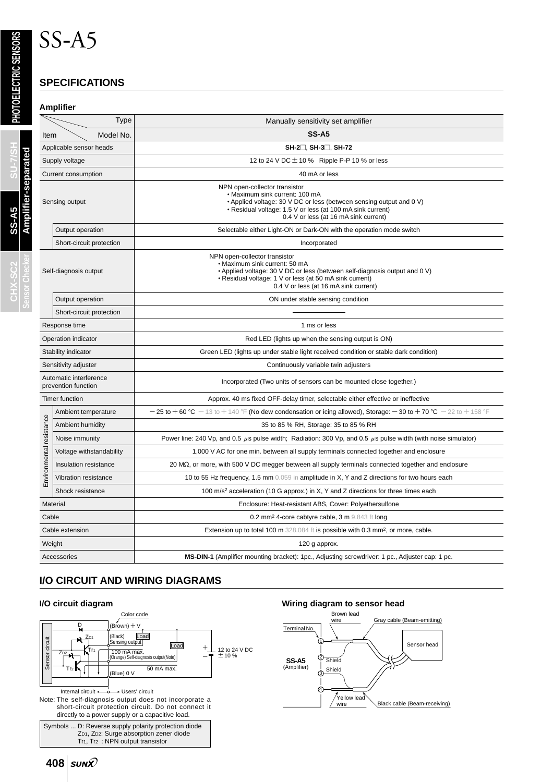## **SPECIFICATIONS**

SS-A5

#### **Amplifier**

|                                               | Type                     | Manually sensitivity set amplifier                                                                                                                                                                                                               |  |  |  |  |  |
|-----------------------------------------------|--------------------------|--------------------------------------------------------------------------------------------------------------------------------------------------------------------------------------------------------------------------------------------------|--|--|--|--|--|
| Item                                          | Model No.                | <b>SS-A5</b>                                                                                                                                                                                                                                     |  |  |  |  |  |
| Applicable sensor heads                       |                          | SH-2□, SH-3□, SH-72                                                                                                                                                                                                                              |  |  |  |  |  |
| Supply voltage                                |                          | 12 to 24 V DC $\pm$ 10 % Ripple P-P 10 % or less                                                                                                                                                                                                 |  |  |  |  |  |
|                                               | Current consumption      | 40 mA or less                                                                                                                                                                                                                                    |  |  |  |  |  |
|                                               | Sensing output           | NPN open-collector transistor<br>• Maximum sink current: 100 mA<br>• Applied voltage: 30 V DC or less (between sensing output and 0 V)<br>• Residual voltage: 1.5 V or less (at 100 mA sink current)<br>0.4 V or less (at 16 mA sink current)    |  |  |  |  |  |
|                                               | Output operation         | Selectable either Light-ON or Dark-ON with the operation mode switch                                                                                                                                                                             |  |  |  |  |  |
|                                               | Short-circuit protection | Incorporated                                                                                                                                                                                                                                     |  |  |  |  |  |
| Self-diagnosis output                         |                          | NPN open-collector transistor<br>• Maximum sink current: 50 mA<br>• Applied voltage: 30 V DC or less (between self-diagnosis output and 0 V)<br>• Residual voltage: 1 V or less (at 50 mA sink current)<br>0.4 V or less (at 16 mA sink current) |  |  |  |  |  |
|                                               | Output operation         | ON under stable sensing condition                                                                                                                                                                                                                |  |  |  |  |  |
|                                               | Short-circuit protection |                                                                                                                                                                                                                                                  |  |  |  |  |  |
| Response time                                 |                          | 1 ms or less                                                                                                                                                                                                                                     |  |  |  |  |  |
|                                               | Operation indicator      | Red LED (lights up when the sensing output is ON)                                                                                                                                                                                                |  |  |  |  |  |
|                                               | Stability indicator      | Green LED (lights up under stable light received condition or stable dark condition)                                                                                                                                                             |  |  |  |  |  |
|                                               | Sensitivity adjuster     | Continuously variable twin adjusters                                                                                                                                                                                                             |  |  |  |  |  |
| Automatic interference<br>prevention function |                          | Incorporated (Two units of sensors can be mounted close together.)                                                                                                                                                                               |  |  |  |  |  |
|                                               | <b>Timer function</b>    | Approx. 40 ms fixed OFF-delay timer, selectable either effective or ineffective                                                                                                                                                                  |  |  |  |  |  |
|                                               | Ambient temperature      | $-$ 25 to + 60 °C $-$ 13 to + 140 °F (No dew condensation or icing allowed), Storage: $-$ 30 to + 70 °C $-$ 22 to + 158 °F                                                                                                                       |  |  |  |  |  |
|                                               | Ambient humidity         | 35 to 85 % RH, Storage: 35 to 85 % RH                                                                                                                                                                                                            |  |  |  |  |  |
| Environmental resistance                      | Noise immunity           | Power line: 240 Vp, and 0.5 $\mu$ s pulse width; Radiation: 300 Vp, and 0.5 $\mu$ s pulse width (with noise simulator)                                                                                                                           |  |  |  |  |  |
|                                               | Voltage withstandability | 1,000 V AC for one min. between all supply terminals connected together and enclosure                                                                                                                                                            |  |  |  |  |  |
|                                               | Insulation resistance    | 20 M $\Omega$ , or more, with 500 V DC megger between all supply terminals connected together and enclosure                                                                                                                                      |  |  |  |  |  |
|                                               | Vibration resistance     | 10 to 55 Hz frequency, 1.5 mm 0.059 in amplitude in X, Y and Z directions for two hours each                                                                                                                                                     |  |  |  |  |  |
|                                               | Shock resistance         | 100 m/s <sup>2</sup> acceleration (10 G approx.) in X, Y and Z directions for three times each                                                                                                                                                   |  |  |  |  |  |
| Material                                      |                          | Enclosure: Heat-resistant ABS, Cover: Polyethersulfone                                                                                                                                                                                           |  |  |  |  |  |
| Cable                                         |                          | 0.2 mm <sup>2</sup> 4-core cabtyre cable, $3 \text{ m}$ 9.843 ft long                                                                                                                                                                            |  |  |  |  |  |
| Cable extension                               |                          | Extension up to total 100 m 328.084 ft is possible with 0.3 mm <sup>2</sup> , or more, cable.                                                                                                                                                    |  |  |  |  |  |
| Weight                                        |                          | 120 g approx.                                                                                                                                                                                                                                    |  |  |  |  |  |
| Accessories                                   |                          | MS-DIN-1 (Amplifier mounting bracket): 1pc., Adjusting screwdriver: 1 pc., Adjuster cap: 1 pc.                                                                                                                                                   |  |  |  |  |  |

### **I/O CIRCUIT AND WIRING DIAGRAMS**

408 *sun* $\hat{x}$ 



#### **I/O circuit diagram Wiring diagram to sensor head**

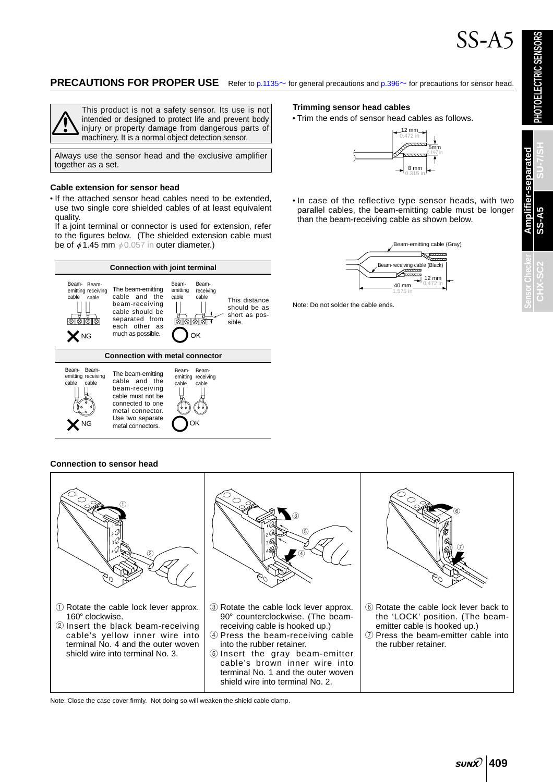#### **PRECAUTIONS FOR PROPER USE** Refer to [p.1135](#page-10-0)~ for general precautions and [p.396](#page-10-0)~ for precautions for sensor head.



This product is not a safety sensor. Its use is not intended or designed to protect life and prevent body injury or property damage from dangerous parts of machinery. It is a normal object detection sensor.

Always use the sensor head and the exclusive amplifier together as a set.

#### **Cable extension for sensor head**

• If the attached sensor head cables need to be extended, use two single core shielded cables of at least equivalent quality.

If a joint terminal or connector is used for extension, refer to the figures below. (The shielded extension cable must be of  $\phi$ 1.45 mm  $\phi$ 0.057 in outer diameter.)



#### **Trimming sensor head cables**

• Trim the ends of sensor head cables as follows.



• In case of the reflective type sensor heads, with two parallel cables, the beam-emitting cable must be longer than the beam-receiving cable as shown below.



Note: Do not solder the cable ends.

**Connection to sensor head**



Note: Close the case cover firmly. Not doing so will weaken the shield cable clamp.

**SS-A5**

**Amplifier-separated**

**Amplifier-separated** 

**CHX-SC2 SU-7/SH**

**Sensor Checker**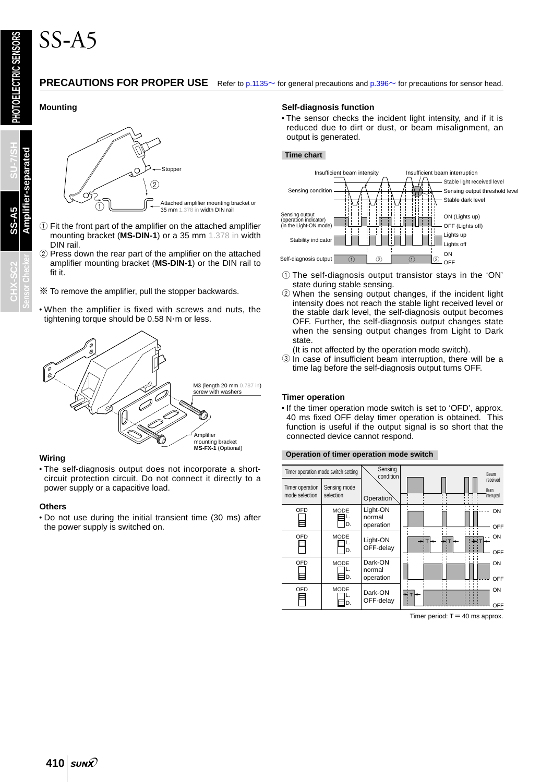#### **PRECAUTIONS FOR PROPER USE** Refer to [p.1135](#page-10-0)~ for general precautions and [p.396](#page-10-0)~ for precautions for sensor head.

#### **Mounting**



- $1$  Fit the front part of the amplifier on the attached amplifier mounting bracket (**MS-DIN-1**) or a 35 mm 1.378 in width DIN rail.
- 2 Press down the rear part of the amplifier on the attached amplifier mounting bracket (**MS-DIN-1**) or the DIN rail to fit it.
- $\mathcal X$  To remove the amplifier, pull the stopper backwards.
- When the amplifier is fixed with screws and nuts, the tightening torque should be 0.58 N m or less.



#### **Wiring**

• The self-diagnosis output does not incorporate a shortcircuit protection circuit. Do not connect it directly to a power supply or a capacitive load.

#### **Others**

• Do not use during the initial transient time (30 ms) after the power supply is switched on.

#### **Self-diagnosis function**

• The sensor checks the incident light intensity, and if it is reduced due to dirt or dust, or beam misalignment, an output is generated.

#### **Time chart**



- $\odot$  The self-diagnosis output transistor stays in the 'ON' state during stable sensing.
- 2 When the sensing output changes, if the incident light intensity does not reach the stable light received level or the stable dark level, the self-diagnosis output becomes OFF. Further, the self-diagnosis output changes state when the sensing output changes from Light to Dark state.
	- (It is not affected by the operation mode switch).
- 3 In case of insufficient beam interruption, there will be a time lag before the self-diagnosis output turns OFF.

#### **Timer operation**

• If the timer operation mode switch is set to 'OFD', approx. 40 ms fixed OFF delay timer operation is obtained. This function is useful if the output signal is so short that the connected device cannot respond.

#### **Operation of timer operation mode switch**



Timer period:  $T = 40$  ms approx.

**Amplifier-separated**

**Amplifier-separated** 

**Sensor Checker**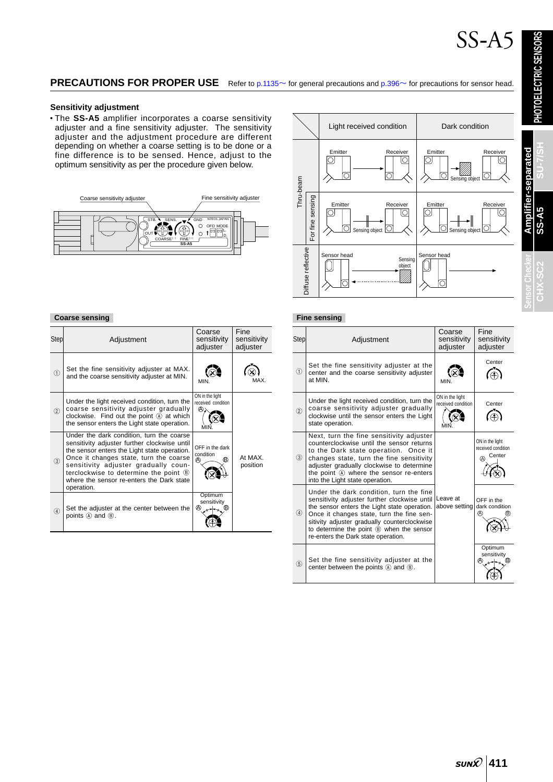**PHOTOELECTRIC SENSORS**

PHOTOELECTRIC SENSORS

**SS-A5**

**CHX-SC2 SU-7/SH**

CHX-S

### **PRECAUTIONS FOR PROPER USE** Refer to [p.1135](#page-10-0)~ for general precautions and [p.396](#page-10-0)~ for precautions for sensor head.

#### **Sensitivity adjustment**

• The **SS-A5** amplifier incorporates a coarse sensitivity adjuster and a fine sensitivity adjuster. The sensitivity adjuster and the adjustment procedure are different depending on whether a coarse setting is to be done or a fine difference is to be sensed. Hence, adjust to the optimum sensitivity as per the procedure given below.





#### **Coarse sensing**

| Step          | Adjustment                                                                                                                                                                                                                                                                                                                      | Coarse<br>sensitivity<br>adjuster          | Fine<br>sensitivity<br>adjuster |
|---------------|---------------------------------------------------------------------------------------------------------------------------------------------------------------------------------------------------------------------------------------------------------------------------------------------------------------------------------|--------------------------------------------|---------------------------------|
| $\circled{1}$ | Set the fine sensitivity adjuster at MAX.<br>and the coarse sensitivity adjuster at MIN.                                                                                                                                                                                                                                        | MIN                                        | MAX                             |
| (2)           | Under the light received condition, turn the<br>coarse sensitivity adjuster gradually<br>clockwise. Find out the point $(A)$ at which<br>the sensor enters the Light state operation.                                                                                                                                           | ON in the light<br>received condition<br>A |                                 |
| (3)           | Under the dark condition, turn the coarse<br>sensitivity adjuster further clockwise until<br>the sensor enters the Light state operation.<br>Once it changes state, turn the coarse<br>sensitivity adjuster gradually coun-<br>terclockwise to determine the point ®<br>where the sensor re-enters the Dark state<br>operation. | OFF in the dark<br>condition<br>®<br>A)    | At MAX.<br>position             |
| $\circled{4}$ | Set the adjuster at the center between the<br>points (A) and (B).                                                                                                                                                                                                                                                               | Optimum<br>sensitivity<br><br>®            |                                 |

#### **Fine sensing**

| <b>Step</b>                    | Adjustment                                                                                                                                                                                                                                                                                                              | Coarse<br>sensitivity<br>adjuster     | Fine<br>sensitivity<br>adjuster                      |
|--------------------------------|-------------------------------------------------------------------------------------------------------------------------------------------------------------------------------------------------------------------------------------------------------------------------------------------------------------------------|---------------------------------------|------------------------------------------------------|
| $\textcircled{\scriptsize{1}}$ | Set the fine sensitivity adjuster at the<br>center and the coarse sensitivity adjuster<br>at MIN.                                                                                                                                                                                                                       | <b>MIN</b>                            | Center                                               |
| (2)                            | Under the light received condition, turn the<br>coarse sensitivity adjuster gradually<br>clockwise until the sensor enters the Light<br>state operation.                                                                                                                                                                | ON in the light<br>received condition | Center                                               |
| (3)                            | Next, turn the fine sensitivity adjuster<br>counterclockwise until the sensor returns<br>to the Dark state operation. Once it<br>changes state, turn the fine sensitivity<br>adjuster gradually clockwise to determine<br>the point (A) where the sensor re-enters<br>into the Light state operation.                   |                                       | ON in the light<br>received condition<br>Center<br>⋒ |
| $\circled{4}$                  | Under the dark condition, turn the fine<br>sensitivity adjuster further clockwise until<br>the sensor enters the Light state operation.<br>Once it changes state, turn the fine sen-<br>sitivity adjuster gradually counterclockwise<br>to determine the point ® when the sensor<br>re-enters the Dark state operation. | Leave at<br>above setting             | OFF in the<br>dark condition<br>@<br>ΈĐ)             |
| (5)                            | Set the fine sensitivity adjuster at the<br>center between the points $(A)$ and $(B)$ .                                                                                                                                                                                                                                 |                                       | Optimum<br>sensitivity<br>A)<br>(B)                  |

## **411**